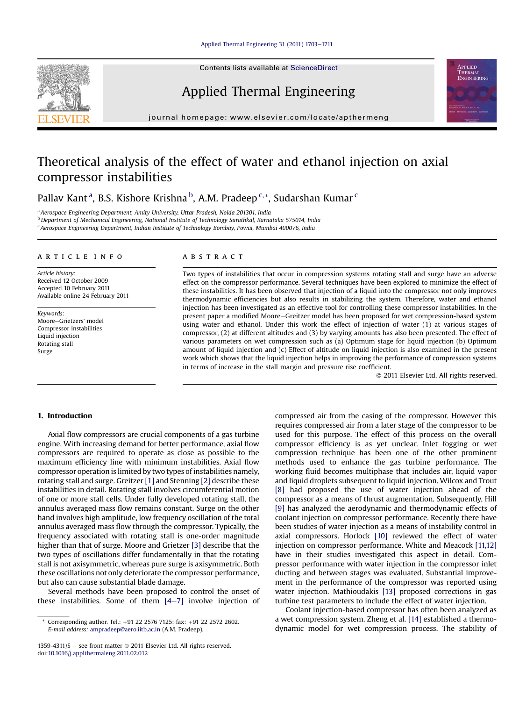#### [Applied Thermal Engineering 31 \(2011\) 1703](http://dx.doi.org/10.1016/j.applthermaleng.2011.02.012)-[1711](http://dx.doi.org/10.1016/j.applthermaleng.2011.02.012)

Contents lists available at ScienceDirect

# Applied Thermal Engineering

journal homepage: [www.elsevier.com/locate/apthermeng](http://www.elsevier.com/locate/apthermeng)

# Theoretical analysis of the effect of water and ethanol injection on axial compressor instabilities

Pallav Kant<sup>a</sup>, B.S. Kishore Krishna <sup>b</sup>, A.M. Pradeep <sup>c,</sup>\*, Sudarshan Kumar <sup>c</sup>

<sup>a</sup> Aerospace Engineering Department, Amity University, Uttar Pradesh, Noida 201301, India

<sup>b</sup> Department of Mechanical Engineering, National Institute of Technology Surathkal, Karnataka 575014, India

<sup>c</sup> Aerospace Engineering Department, Indian Institute of Technology Bombay, Powai, Mumbai 400076, India

#### article info

Article history: Received 12 October 2009 Accepted 10 February 2011 Available online 24 February 2011

Keywords: Moore-Grietzers' model Compressor instabilities Liquid injection Rotating stall Surge

# **ABSTRACT**

Two types of instabilities that occur in compression systems rotating stall and surge have an adverse effect on the compressor performance. Several techniques have been explored to minimize the effect of these instabilities. It has been observed that injection of a liquid into the compressor not only improves thermodynamic efficiencies but also results in stabilizing the system. Therefore, water and ethanol injection has been investigated as an effective tool for controlling these compressor instabilities. In the present paper a modified Moore-Greitzer model has been proposed for wet compression-based system using water and ethanol. Under this work the effect of injection of water (1) at various stages of compressor, (2) at different altitudes and (3) by varying amounts has also been presented. The effect of various parameters on wet compression such as (a) Optimum stage for liquid injection (b) Optimum amount of liquid injection and (c) Effect of altitude on liquid injection is also examined in the present work which shows that the liquid injection helps in improving the performance of compression systems in terms of increase in the stall margin and pressure rise coefficient.

2011 Elsevier Ltd. All rights reserved.

# 1. Introduction

Axial flow compressors are crucial components of a gas turbine engine. With increasing demand for better performance, axial flow compressors are required to operate as close as possible to the maximum efficiency line with minimum instabilities. Axial flow compressor operation is limited by two types of instabilities namely, rotating stall and surge. Greitzer [\[1\]](#page-7-0) and Stenning [\[2\]](#page-7-0) describe these instabilities in detail. Rotating stall involves circumferential motion of one or more stall cells. Under fully developed rotating stall, the annulus averaged mass flow remains constant. Surge on the other hand involves high amplitude, low frequency oscillation of the total annulus averaged mass flow through the compressor. Typically, the frequency associated with rotating stall is one-order magnitude higher than that of surge. Moore and Grietzer [\[3\]](#page-7-0) describe that the two types of oscillations differ fundamentally in that the rotating stall is not axisymmetric, whereas pure surge is axisymmetric. Both these oscillations not only deteriorate the compressor performance, but also can cause substantial blade damage.

Several methods have been proposed to control the onset of these instabilities. Some of them  $[4-7]$  $[4-7]$  $[4-7]$  involve injection of compressed air from the casing of the compressor. However this requires compressed air from a later stage of the compressor to be used for this purpose. The effect of this process on the overall compressor efficiency is as yet unclear. Inlet fogging or wet compression technique has been one of the other prominent methods used to enhance the gas turbine performance. The working fluid becomes multiphase that includes air, liquid vapor and liquid droplets subsequent to liquid injection. Wilcox and Trout [\[8\]](#page-7-0) had proposed the use of water injection ahead of the compressor as a means of thrust augmentation. Subsequently, Hill [\[9\]](#page-7-0) has analyzed the aerodynamic and thermodynamic effects of coolant injection on compressor performance. Recently there have been studies of water injection as a means of instability control in axial compressors. Horlock [\[10\]](#page-7-0) reviewed the effect of water injection on compressor performance. White and Meacock [\[11,12\]](#page-7-0) have in their studies investigated this aspect in detail. Compressor performance with water injection in the compressor inlet ducting and between stages was evaluated. Substantial improvement in the performance of the compressor was reported using water injection. Mathioudakis [\[13\]](#page-7-0) proposed corrections in gas turbine test parameters to include the effect of water injection.

Coolant injection-based compressor has often been analyzed as a wet compression system. Zheng et al. [\[14\]](#page-7-0) established a thermodynamic model for wet compression process. The stability of





Corresponding author. Tel.: +91 22 2576 7125; fax: +91 22 2572 2602. E-mail address: [ampradeep@aero.iitb.ac.in](mailto:ampradeep@aero.iitb.ac.in) (A.M. Pradeep).

<sup>1359-4311/\$</sup>  $-$  see front matter  $\odot$  2011 Elsevier Ltd. All rights reserved. doi[:10.1016/j.applthermaleng.2011.02.012](http://dx.doi.org/10.1016/j.applthermaleng.2011.02.012)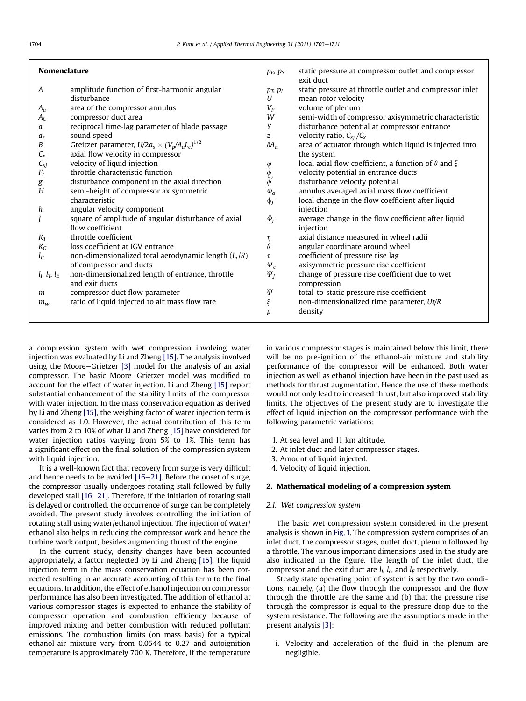| <b>Nomenclature</b>   |                                                                         | $p_E$ , $p_S$                                                          | static pressure at compressor outlet and compressor                                         |
|-----------------------|-------------------------------------------------------------------------|------------------------------------------------------------------------|---------------------------------------------------------------------------------------------|
| A                     | amplitude function of first-harmonic angular<br>disturbance             | $p_T$ , $p_l$<br>U                                                     | exit duct<br>static pressure at throttle outlet and compressor inlet<br>mean rotor velocity |
| $A_a$                 | area of the compressor annulus                                          | $V_P$                                                                  | volume of plenum                                                                            |
| $A_C$                 | compressor duct area                                                    | W                                                                      | semi-width of compressor axisymmetric characteristic                                        |
| a                     | reciprocal time-lag parameter of blade passage                          | Y                                                                      | disturbance potential at compressor entrance                                                |
| $a_{s}$               | sound speed                                                             | $\mathcal{Z}$                                                          | velocity ratio, $C_{xi}/C_x$                                                                |
| В                     | Greitzer parameter, $U/2a_s \times (V_p/A_aL_c)^{1/2}$                  | $\delta A_\alpha$                                                      | area of actuator through which liquid is injected into                                      |
| $C_{x}$               | axial flow velocity in compressor                                       |                                                                        | the system                                                                                  |
| $C_{xj}$              | velocity of liquid injection                                            |                                                                        | local axial flow coefficient, a function of $\theta$ and $\xi$                              |
| $F_t$                 | throttle characteristic function                                        | $\begin{array}{c} \varphi \ \tilde{\phi}' \ \tilde{\phi}' \end{array}$ | velocity potential in entrance ducts                                                        |
| $\boldsymbol{g}$      | disturbance component in the axial direction                            |                                                                        | disturbance velocity potential                                                              |
| H                     | semi-height of compressor axisymmetric                                  | $\Phi_a$                                                               | annulus averaged axial mass flow coefficient                                                |
|                       | characteristic                                                          | $\phi_j$                                                               | local change in the flow coefficient after liquid                                           |
| h                     | angular velocity component                                              |                                                                        | injection                                                                                   |
|                       | square of amplitude of angular disturbance of axial<br>flow coefficient | $\Phi_i$                                                               | average change in the flow coefficient after liquid<br>injection                            |
| $K_T$                 | throttle coefficient                                                    | η                                                                      | axial distance measured in wheel radii                                                      |
| $K_G$                 | loss coefficient at IGV entrance                                        | $\theta$                                                               | angular coordinate around wheel                                                             |
| $l_C$                 | non-dimensionalized total aerodynamic length $(L_c/R)$                  | τ                                                                      | coefficient of pressure rise lag                                                            |
|                       | of compressor and ducts                                                 | $\Psi_c$                                                               | axisymmetric pressure rise coefficient                                                      |
| $l_l$ , $l_T$ , $l_E$ | non-dimensionalized length of entrance, throttle<br>and exit ducts      | $\Psi_I$                                                               | change of pressure rise coefficient due to wet<br>compression                               |
| m                     | compressor duct flow parameter                                          | Ψ                                                                      | total-to-static pressure rise coefficient                                                   |
| $m_w$                 | ratio of liquid injected to air mass flow rate                          | ξ                                                                      | non-dimensionalized time parameter, Ut/R                                                    |
|                       |                                                                         | $\rho$                                                                 | density                                                                                     |

a compression system with wet compression involving water injection was evaluated by Li and Zheng [\[15\].](#page-7-0) The analysis involved using the Moore-Grietzer  $[3]$  model for the analysis of an axial compressor. The basic Moore-Grietzer model was modified to account for the effect of water injection. Li and Zheng [\[15\]](#page-7-0) report substantial enhancement of the stability limits of the compressor with water injection. In the mass conservation equation as derived by Li and Zheng [\[15\]](#page-7-0), the weighing factor of water injection term is considered as 1.0. However, the actual contribution of this term varies from 2 to 10% of what Li and Zheng [\[15\]](#page-7-0) have considered for water injection ratios varying from 5% to 1%. This term has a significant effect on the final solution of the compression system with liquid injection.

It is a well-known fact that recovery from surge is very difficult and hence needs to be avoided  $[16-21]$  $[16-21]$ . Before the onset of surge, the compressor usually undergoes rotating stall followed by fully developed stall  $[16-21]$  $[16-21]$  $[16-21]$ . Therefore, if the initiation of rotating stall is delayed or controlled, the occurrence of surge can be completely avoided. The present study involves controlling the initiation of rotating stall using water/ethanol injection. The injection of water/ ethanol also helps in reducing the compressor work and hence the turbine work output, besides augmenting thrust of the engine.

In the current study, density changes have been accounted appropriately, a factor neglected by Li and Zheng [\[15\]](#page-7-0). The liquid injection term in the mass conservation equation has been corrected resulting in an accurate accounting of this term to the final equations. In addition, the effect of ethanol injection on compressor performance has also been investigated. The addition of ethanol at various compressor stages is expected to enhance the stability of compressor operation and combustion efficiency because of improved mixing and better combustion with reduced pollutant emissions. The combustion limits (on mass basis) for a typical ethanol-air mixture vary from 0.0544 to 0.27 and autoignition temperature is approximately 700 K. Therefore, if the temperature in various compressor stages is maintained below this limit, there will be no pre-ignition of the ethanol-air mixture and stability performance of the compressor will be enhanced. Both water injection as well as ethanol injection have been in the past used as methods for thrust augmentation. Hence the use of these methods would not only lead to increased thrust, but also improved stability limits. The objectives of the present study are to investigate the effect of liquid injection on the compressor performance with the following parametric variations:

- 1. At sea level and 11 km altitude.
- 2. At inlet duct and later compressor stages.
- 3. Amount of liquid injected.
- 4. Velocity of liquid injection.

# 2. Mathematical modeling of a compression system

# 2.1. Wet compression system

The basic wet compression system considered in the present analysis is shown in [Fig. 1.](#page-2-0) The compression system comprises of an inlet duct, the compressor stages, outlet duct, plenum followed by a throttle. The various important dimensions used in the study are also indicated in the figure. The length of the inlet duct, the compressor and the exit duct are  $l_I$ ,  $l_C$ , and  $l_E$  respectively.

Steady state operating point of system is set by the two conditions, namely, (a) the flow through the compressor and the flow through the throttle are the same and (b) that the pressure rise through the compressor is equal to the pressure drop due to the system resistance. The following are the assumptions made in the present analysis [\[3\]:](#page-7-0)

i. Velocity and acceleration of the fluid in the plenum are negligible.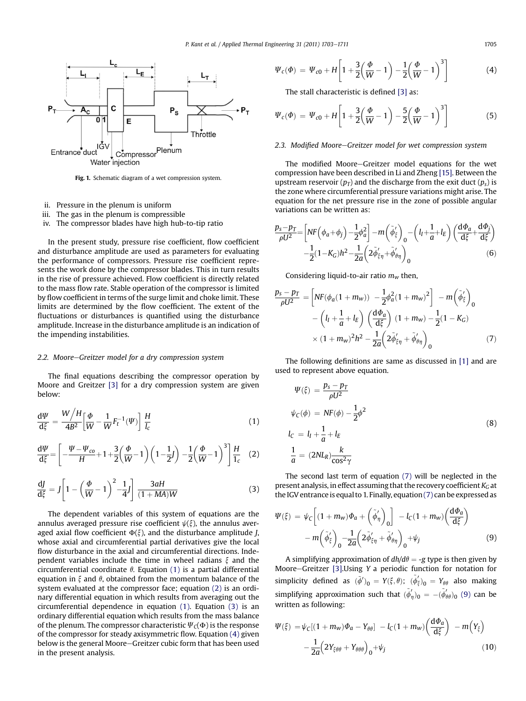<span id="page-2-0"></span>

Fig. 1. Schematic diagram of a wet compression system.

- ii. Pressure in the plenum is uniform
- iii. The gas in the plenum is compressible
- iv. The compressor blades have high hub-to-tip ratio

In the present study, pressure rise coefficient, flow coefficient and disturbance amplitude are used as parameters for evaluating the performance of compressors. Pressure rise coefficient represents the work done by the compressor blades. This in turn results in the rise of pressure achieved. Flow coefficient is directly related to the mass flow rate. Stable operation of the compressor is limited by flow coefficient in terms of the surge limit and choke limit. These limits are determined by the flow coefficient. The extent of the fluctuations or disturbances is quantified using the disturbance amplitude. Increase in the disturbance amplitude is an indication of the impending instabilities.

# 2.2. Moore-Greitzer model for a dry compression system

The final equations describing the compressor operation by Moore and Greitzer [\[3\]](#page-7-0) for a dry compression system are given below:

$$
\frac{\mathrm{d}\Psi}{\mathrm{d}\xi} = \frac{W/H}{4B^2} \left[ \frac{\Phi}{W} - \frac{1}{W} F_t^{-1}(\Psi) \right] \frac{H}{I_c} \tag{1}
$$

$$
\frac{d\Psi}{d\xi} = \left[ -\frac{\Psi - \Psi_{co}}{H} + 1 + \frac{3}{2} \left( \frac{\Phi}{W} - 1 \right) \left( 1 - \frac{1}{2} J \right) - \frac{1}{2} \left( \frac{\Phi}{W} - 1 \right)^3 \right] \frac{H}{1_c} \quad (2)
$$

$$
\frac{\mathrm{d}J}{\mathrm{d}\xi} = J \left[ 1 - \left( \frac{\Phi}{W} - 1 \right)^2 - \frac{1}{4} J \right] \frac{3aH}{(1 + MA)W} \tag{3}
$$

The dependent variables of this system of equations are the annulus averaged pressure rise coefficient  $\psi(\xi)$ , the annulus averaged axial flow coefficient  $\Phi(\xi)$ , and the disturbance amplitude *J*, whose axial and circumferential partial derivatives give the local flow disturbance in the axial and circumferential directions. Independent variables include the time in wheel radians  $\xi$  and the circumferential coordinate  $\theta$ . Equation (1) is a partial differential equation in  $\xi$  and  $\theta$ , obtained from the momentum balance of the system evaluated at the compressor face; equation (2) is an ordinary differential equation in which results from averaging out the circumferential dependence in equation (1). Equation (3) is an ordinary differential equation which results from the mass balance of the plenum. The compressor characteristic  $\Psi_{\zeta}(\Phi)$  is the response of the compressor for steady axisymmetric flow. Equation (4) given below is the general Moore-Greitzer cubic form that has been used in the present analysis.

$$
\Psi_c(\Phi) = \Psi_{c0} + H \left[ 1 + \frac{3}{2} \left( \frac{\Phi}{W} - 1 \right) - \frac{1}{2} \left( \frac{\Phi}{W} - 1 \right)^3 \right] \tag{4}
$$

The stall characteristic is defined [\[3\]](#page-7-0) as:

$$
\Psi_c(\Phi) = \Psi_{c0} + H \left[ 1 + \frac{3}{2} \left( \frac{\Phi}{W} - 1 \right) - \frac{5}{2} \left( \frac{\Phi}{W} - 1 \right)^3 \right] \tag{5}
$$

# 2.3. Modified Moore-Greitzer model for wet compression system

The modified Moore-Greitzer model equations for the wet compression have been described in Li and Zheng [\[15\]](#page-7-0). Between the upstream reservoir  $(p_T)$  and the discharge from the exit duct  $(p_s)$  is the zone where circumferential pressure variations might arise. The equation for the net pressure rise in the zone of possible angular variations can be written as:

$$
\frac{p_s - p_T}{\rho U^2} = \left[ N F \left( \phi_a + \phi_j \right) - \frac{1}{2} \phi_a^2 \right] - m \left( \tilde{\phi}_\xi' \right)_0 - \left( l_I + \frac{1}{a} + l_E \right) \left( \frac{d \phi_a}{d \xi} + \frac{d \phi_j}{d \xi} \right) \n- \frac{1}{2} (1 - K_G) h^2 - \frac{1}{2a} \left( 2 \tilde{\phi}_{\xi \eta} + \tilde{\phi}_{\theta \eta}' \right)_0
$$
\n(6)

Considering liquid-to-air ratio  $m_w$  then,

$$
\frac{p_s - p_T}{\rho U^2} = \left[ N F (\phi_a (1 + m_w)) - \frac{1}{2} \phi_a^2 (1 + m_w)^2 \right] - m \left( \tilde{\phi}_{\xi}^{\prime} \right)_0
$$

$$
- \left( l_I + \frac{1}{a} + l_E \right) \left( \frac{d \phi_a}{d \xi} \right) (1 + m_w) - \frac{1}{2} (1 - K_G)
$$

$$
\times (1 + m_w)^2 h^2 - \frac{1}{2a} \left( 2 \tilde{\phi}_{\xi \eta}^{\prime} + \tilde{\phi}_{\theta \eta}^{\prime} \right)_0
$$
(7)

The following definitions are same as discussed in [\[1\]](#page-7-0) and are used to represent above equation.

$$
\Psi(\xi) = \frac{p_s - p_T}{\rho U^2}
$$
\n
$$
\psi_C(\phi) = NF(\phi) - \frac{1}{2}\phi^2
$$
\n
$$
l_C = l_I + \frac{1}{a} + l_E
$$
\n
$$
\frac{1}{a} = (2N L_R) \frac{k}{\cos^2 \gamma}
$$
\n(8)

The second last term of equation (7) will be neglected in the present analysis, in effect assuming that the recovery coefficient  $K_G$  at the IGV entrance is equal to 1. Finally, equation(7) can be expressed as

$$
\Psi(\xi) = \psi_C \left[ (1 + m_w) \Phi_a + \left( \tilde{\phi}'_\eta \right)_0 \right] - l_C (1 + m_w) \left( \frac{d\Phi_a}{d\xi} \right) \n- m \left( \tilde{\phi}'_\xi \right)_0 - \frac{1}{2a} \left( 2 \tilde{\phi}'_{\xi\eta} + \tilde{\phi}'_{\theta\eta} \right)_0 + \psi_j
$$
\n(9)

A simplifying approximation of  $dh/d\theta = -g$  type is then given by Moore-Greitzer [\[3\]](#page-7-0).Using Y a periodic function for notation for simplicity defined as  $(\tilde{\phi}')_0 = Y(\xi, \theta); \; (\tilde{\phi}'_{\xi})_0 = Y_{\theta\theta}$  also making simplifying approximation such that  $(\tilde{\phi}'_{\eta})_0 = -(\tilde{\phi}'_{\theta\theta})_0$  (9) can be written as following:

$$
\Psi(\xi) = \psi_C[(1 + m_w)\Phi_a - Y_{\theta\theta}] - l_C(1 + m_w) \left(\frac{d\Phi_a}{d\xi}\right) - m\left(Y_{\xi}\right) - \frac{1}{2a}\left(2Y_{\xi\theta\theta} + Y_{\theta\theta\theta}\right)_0 + \psi_j
$$
\n(10)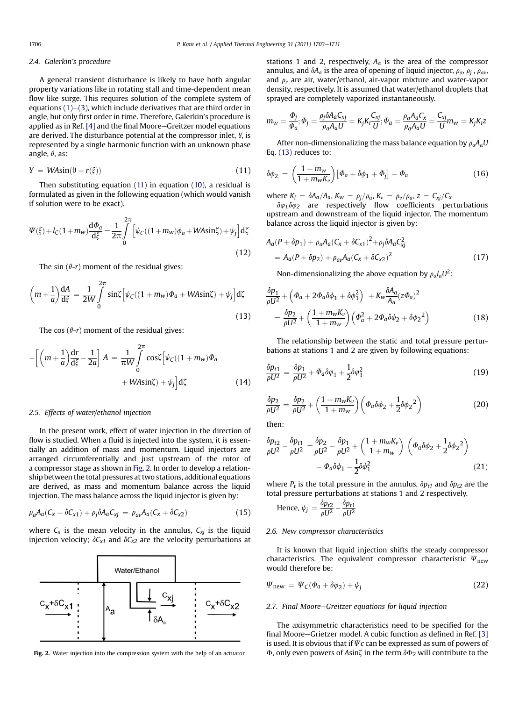#### <span id="page-3-0"></span>2.4. Galerkin's procedure

A general transient disturbance is likely to have both angular property variations like in rotating stall and time-dependent mean flow like surge. This requires solution of the complete system of equations  $(1)$ – $(3)$ , which include derivatives that are third order in angle, but only first order in time. Therefore, Galerkin's procedure is applied as in Ref.  $[4]$  and the final Moore-Greitzer model equations are derived. The disturbance potential at the compressor inlet, Y, is represented by a single harmonic function with an unknown phase angle,  $\theta$ , as:

$$
Y = W A \sin(\theta - r(\xi)) \tag{11}
$$

Then substituting equation (11) in equation [\(10\),](#page-2-0) a residual is formulated as given in the following equation (which would vanish if solution were to be exact).

$$
\Psi(\xi) + l_C(1 + m_w)\frac{\mathrm{d}\Phi_a}{\mathrm{d}\xi} = \frac{1}{2\pi} \int\limits_0^{2\pi} \left[ \psi_C((1 + m_w)\phi_a + W\mathrm{Asin}\zeta) + \psi_j \right] \mathrm{d}\zeta \tag{12}
$$

The sin  $(\theta-r)$  moment of the residual gives:

$$
\left(m+\frac{1}{a}\right)\frac{dA}{d\xi} = \frac{1}{2W}\int_{0}^{2\pi} \sin\zeta \left[\psi_{C}((1+m_{w})\Phi_{a} + W A \sin\zeta) + \psi_{j}\right] d\zeta
$$
\n(13)

The cos  $(\theta-r)$  moment of the residual gives:

$$
-\left[\left(m+\frac{1}{a}\right)\frac{dr}{d\xi} - \frac{1}{2a}\right]A = \frac{1}{\pi W}\int_{0}^{2\pi} \cos\left[\psi_{C}((1+m_{w})\Phi_{a} + W A \sin\zeta) + \psi_{j}\right]d\zeta
$$
\n(14)

#### 2.5. Effects of water/ethanol injection

In the present work, effect of water injection in the direction of flow is studied. When a fluid is injected into the system, it is essentially an addition of mass and momentum. Liquid injectors are arranged circumferentially and just upstream of the rotor of a compressor stage as shown in Fig. 2. In order to develop a relationship between the total pressures at two stations, additional equations are derived, as mass and momentum balance across the liquid injection. The mass balance across the liquid injector is given by:

$$
\rho_a A_a (C_x + \delta C_{x1}) + \rho_j \delta A_a C_{xj} = \rho_{av} A_a (C_x + \delta C_{x2})
$$
\n(15)

where  $C_x$  is the mean velocity in the annulus,  $C_{xj}$  is the liquid injection velocity;  $\delta C_{x1}$  and  $\delta C_{x2}$  are the velocity perturbations at



stations 1 and 2, respectively,  $A_{\alpha}$  is the area of the compressor annulus, and  $\delta A_{\alpha}$  is the area of opening of liquid injector,  $\rho_{\alpha}$ ,  $\rho_i$ ,  $\rho_{\alpha\nu}$ , and  $\rho_{\nu}$  are air, water/ethanol, air-vapor mixture and water-vapor density, respectively. It is assumed that water/ethanol droplets that sprayed are completely vaporized instantaneously.

$$
m_w = \frac{\Phi_j}{\Phi_a}; \Phi_j = \frac{\rho_j \delta A_a C_{xj}}{\rho_a A_a U} = K_j K_i \frac{C_{xj}}{U}; \Phi_a = \frac{\rho_a A_a C_x}{\rho_a A_a U} = \frac{C_{xj}}{U} m_w = K_j K_l z
$$

After non-dimensionalizing the mass balance equation by  $\rho_{\alpha}A_{\alpha}U$ Eq. (13) reduces to:

$$
\delta\phi_2 = \left(\frac{1+m_w}{1+m_wK_v}\right)[\Phi_a + \delta\phi_1 + \Phi_j] - \Phi_a \tag{16}
$$

where  $K_l = \delta A_a/A_a$ ,  $K_w = \rho_j/\rho_a$ ,  $K_v = \rho_v/\rho_a$ ,  $z = C_{xj}/C_x$ 

 $\delta\varphi_1\delta\varphi_2$  are respectively flow coefficients perturbations upstream and downstream of the liquid injector. The momentum balance across the liquid injector is given by:

$$
A_{a}(P + \delta p_{1}) + \rho_{a}A_{a}(C_{x} + \delta C_{x1})^{2} + \rho_{j}\delta A_{a}C_{xj}^{2}
$$
  
=  $A_{a}(P + \delta p_{2}) + \rho_{av}A_{a}(C_{x} + \delta C_{x2})^{2}$  (17)

Non-dimensionalizing the above equation by  $\rho_{\alpha}l_{\alpha}U^2$ :

$$
\frac{\delta p_1}{\rho U^2} + \left(\Phi_a + 2\Phi_a \delta\phi_1 + \delta\phi_1^2\right) + K_w \frac{\delta A_a}{A_a} (z\Phi_a)^2
$$
\n
$$
= \frac{\delta p_2}{\rho U^2} + \left(\frac{1 + m_w K_v}{1 + m_w}\right) \left(\Phi_a^2 + 2\Phi_a \delta\phi_2 + \delta\phi_2^2\right)
$$
\n(18)

The relationship between the static and total pressure perturbations at stations 1 and 2 are given by following equations:

$$
\frac{\delta p_{t1}}{\rho U^2} = \frac{\delta p_1}{\rho U^2} + \Phi_a \delta \varphi_1 + \frac{1}{2} \delta \varphi_1^2 \tag{19}
$$

$$
\frac{\delta p_2}{\rho U^2} = \frac{\delta p_2}{\rho U^2} + \left(\frac{1 + m_w K_v}{1 + m_w}\right) \left(\Phi_a \delta \phi_2 + \frac{1}{2} \delta \phi_2^2\right)
$$
\n(20)

then:

$$
\frac{\delta p_{t2}}{\rho U^2} - \frac{\delta p_{t1}}{\rho U^2} = \frac{\delta p_2}{\rho U^2} - \frac{\delta p_1}{\rho U^2} + \left(\frac{1 + m_w K_v}{1 + m_w}\right) \left(\Phi_a \delta \phi_2 + \frac{1}{2} \delta \phi_2^2\right) - \Phi_a \delta \phi_1 - \frac{1}{2} \delta \phi_1^2
$$
\n(21)

where  $P_t$  is the total pressure in the annulus,  $\delta p_{t1}$  and  $\delta p_{t2}$  are the total pressure perturbations at stations 1 and 2 respectively.

Hence, 
$$
\psi_j = \frac{\delta p_{t2}}{\rho U^2} - \frac{\delta p_{t1}}{\rho U^2}
$$

#### 2.6. New compressor characteristics

It is known that liquid injection shifts the steady compressor characteristics. The equivalent compressor characteristic  $\Psi_{\text{new}}$ would therefore be:

$$
\Psi_{\text{new}} = \Psi_C(\Phi_a + \delta \varphi_2) + \psi_j \tag{22}
$$

#### 2.7. Final Moore-Greitzer equations for liquid injection

The axisymmetric characteristics need to be specified for the final Moore-Grietzer model. A cubic function as defined in Ref.  $[3]$ is used. It is obvious that if  $\psi c$  can be expressed as sum of powers of Fig. 2. Water injection into the compression system with the help of an actuator.  $\Phi$ , only even powers of Asin $\zeta$  in the term  $\delta\Phi_2$  will contribute to the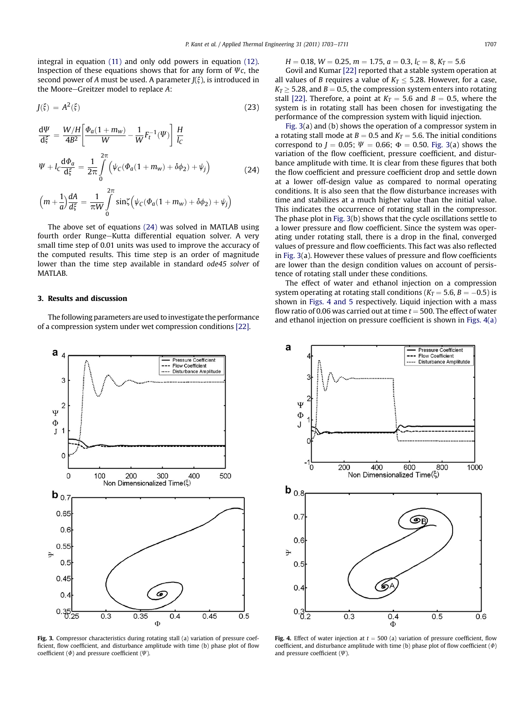<span id="page-4-0"></span>integral in equation [\(11\)](#page-3-0) and only odd powers in equation [\(12\).](#page-3-0) Inspection of these equations shows that for any form of  $\psi_c$ , the second power of A must be used. A parameter  $J(\xi)$ , is introduced in the Moore-Greitzer model to replace  $A$ :

$$
J(\xi) = A^2(\xi) \tag{23}
$$

$$
\frac{d\Psi}{d\xi} = \frac{W/H}{4B^2} \left[ \frac{\Phi_a (1 + m_w)}{W} - \frac{1}{W} F_t^{-1}(\Psi) \right] \frac{H}{l_C}
$$
\n
$$
\Psi + l_C \frac{d\Phi_a}{d\xi} = \frac{1}{2\pi} \int_0^{2\pi} \left( \psi_C (\Phi_a (1 + m_w) + \delta \phi_2) + \psi_j \right)
$$
\n
$$
2\pi
$$
\n(24)

$$
\left(m+\frac{1}{a}\right)\frac{dA}{d\xi} = \frac{1}{\pi W}\int\limits_{0}^{2\pi} \sin\zeta \left(\psi_C(\Phi_a(1+m_W)+\delta\phi_2)+\psi_j\right)
$$

The above set of equations (24) was solved in MATLAB using fourth order Runge-Kutta differential equation solver. A very small time step of 0.01 units was used to improve the accuracy of the computed results. This time step is an order of magnitude lower than the time step available in standard ode45 solver of MATLAB.

## 3. Results and discussion

The following parameters are used to investigate the performance of a compression system under wet compression conditions [\[22\]](#page-8-0).



Fig. 3. Compressor characteristics during rotating stall (a) variation of pressure coefficient, flow coefficient, and disturbance amplitude with time (b) phase plot of flow coefficient ( $\Phi$ ) and pressure coefficient ( $\Psi$ ).

 $H = 0.18$ ,  $W = 0.25$ ,  $m = 1.75$ ,  $a = 0.3$ ,  $l_C = 8$ ,  $K_T = 5.6$ 

Govil and Kumar [\[22\]](#page-8-0) reported that a stable system operation at all values of B requires a value of  $K_T \leq 5.28$ . However, for a case,  $K_T \geq 5.28$ , and  $B = 0.5$ , the compression system enters into rotating stall [\[22\].](#page-8-0) Therefore, a point at  $K_T = 5.6$  and  $B = 0.5$ , where the system is in rotating stall has been chosen for investigating the performance of the compression system with liquid injection.

Fig. 3(a) and (b) shows the operation of a compressor system in a rotating stall mode at  $B = 0.5$  and  $K_T = 5.6$ . The initial conditions correspond to  $J = 0.05$ ;  $\Psi = 0.66$ ;  $\Phi = 0.50$ . Fig. 3(a) shows the variation of the flow coefficient, pressure coefficient, and disturbance amplitude with time. It is clear from these figures that both the flow coefficient and pressure coefficient drop and settle down at a lower off-design value as compared to normal operating conditions. It is also seen that the flow disturbance increases with time and stabilizes at a much higher value than the initial value. This indicates the occurrence of rotating stall in the compressor. The phase plot in Fig. 3(b) shows that the cycle oscillations settle to a lower pressure and flow coefficient. Since the system was operating under rotating stall, there is a drop in the final, converged values of pressure and flow coefficients. This fact was also reflected in Fig. 3(a). However these values of pressure and flow coefficients are lower than the design condition values on account of persistence of rotating stall under these conditions.

The effect of water and ethanol injection on a compression system operating at rotating stall conditions ( $K_T$  = 5.6, B = -0.5) is shown in Figs. 4 and 5 respectively. Liquid injection with a mass flow ratio of 0.06 was carried out at time  $t = 500$ . The effect of water and ethanol injection on pressure coefficient is shown in Figs. 4(a)



Fig. 4. Effect of water injection at  $t = 500$  (a) variation of pressure coefficient, flow coefficient, and disturbance amplitude with time (b) phase plot of flow coefficient  $(\Phi)$ and pressure coefficient  $(\Psi)$ .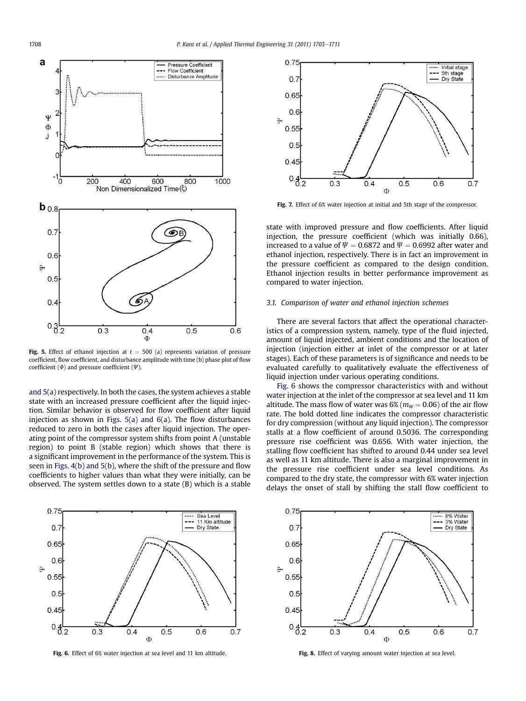<span id="page-5-0"></span>

Fig. 5. Effect of ethanol injection at  $t = 500$  (a) represents variation of pressure coefficient, flow coefficient, and disturbance amplitude with time (b) phase plot of flow coefficient ( $\phi$ ) and pressure coefficient ( $\Psi$ ).

[and 5\(a\)](#page-4-0) respectively. In both the cases, the system achieves a stable state with an increased pressure coefficient after the liquid injection. Similar behavior is observed for flow coefficient after liquid injection as shown in Figs.  $5(a)$  and  $6(a)$ . The flow disturbances reduced to zero in both the cases after liquid injection. The operating point of the compressor system shifts from point A (unstable region) to point B (stable region) which shows that there is a significant improvement in the performance of the system. This is seen in [Figs. 4\(b\) and 5\(b\),](#page-4-0) where the shift of the pressure and flow coefficients to higher values than what they were initially, can be observed. The system settles down to a state (B) which is a stable



Fig. 6. Effect of 6% water injection at sea level and 11 km altitude.



Fig. 7. Effect of 6% water injection at initial and 5th stage of the compressor.

state with improved pressure and flow coefficients. After liquid injection, the pressure coefficient (which was initially 0.66), increased to a value of  $\Psi = 0.6872$  and  $\Psi = 0.6992$  after water and ethanol injection, respectively. There is in fact an improvement in the pressure coefficient as compared to the design condition. Ethanol injection results in better performance improvement as compared to water injection.

#### 3.1. Comparison of water and ethanol injection schemes

There are several factors that affect the operational characteristics of a compression system, namely, type of the fluid injected, amount of liquid injected, ambient conditions and the location of injection (injection either at inlet of the compressor or at later stages). Each of these parameters is of significance and needs to be evaluated carefully to qualitatively evaluate the effectiveness of liquid injection under various operating conditions.

Fig. 6 shows the compressor characteristics with and without water injection at the inlet of the compressor at sea level and 11 km altitude. The mass flow of water was  $6\%$  ( $m_w = 0.06$ ) of the air flow rate. The bold dotted line indicates the compressor characteristic for dry compression (without any liquid injection). The compressor stalls at a flow coefficient of around 0.5036. The corresponding pressure rise coefficient was 0.656. With water injection, the stalling flow coefficient has shifted to around 0.44 under sea level as well as 11 km altitude. There is also a marginal improvement in the pressure rise coefficient under sea level conditions. As compared to the dry state, the compressor with 6% water injection delays the onset of stall by shifting the stall flow coefficient to



Fig. 8. Effect of varying amount water injection at sea level.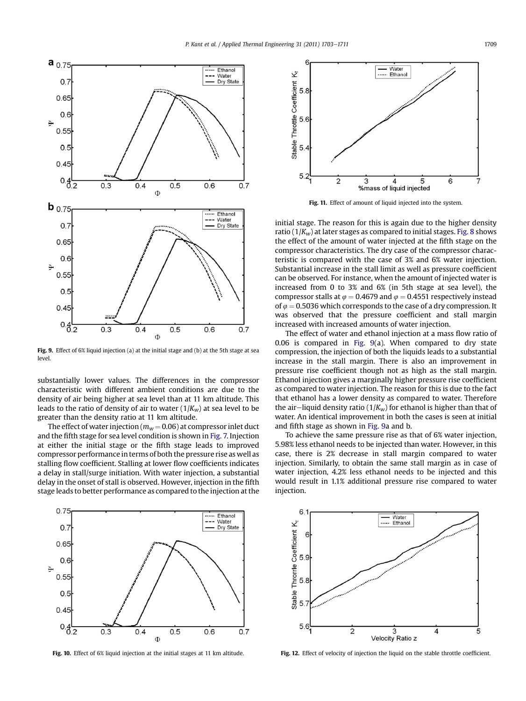<span id="page-6-0"></span>

Fig. 9. Effect of 6% liquid injection (a) at the initial stage and (b) at the 5th stage at sea level.

substantially lower values. The differences in the compressor characteristic with different ambient conditions are due to the density of air being higher at sea level than at 11 km altitude. This leads to the ratio of density of air to water  $(1/K_w)$  at sea level to be greater than the density ratio at 11 km altitude.

The effect of water injection ( $m_w$  = 0.06) at compressor inlet duct and the fifth stage for sea level condition is shown in [Fig. 7.](#page-5-0) Injection at either the initial stage or the fifth stage leads to improved compressor performance in terms of both the pressure rise as well as stalling flow coefficient. Stalling at lower flow coefficients indicates a delay in stall/surge initiation. With water injection, a substantial delay in the onset of stall is observed. However, injection in the fifth stage leads to better performance as compared to the injection at the



Fig. 10. Effect of 6% liquid injection at the initial stages at 11 km altitude.



Fig. 11. Effect of amount of liquid injected into the system.

initial stage. The reason for this is again due to the higher density ratio ( $1/K_w$ ) at later stages as compared to initial stages. [Fig. 8](#page-5-0) shows the effect of the amount of water injected at the fifth stage on the compressor characteristics. The dry case of the compressor characteristic is compared with the case of 3% and 6% water injection. Substantial increase in the stall limit as well as pressure coefficient can be observed. For instance, when the amount of injected water is increased from 0 to 3% and 6% (in 5th stage at sea level), the compressor stalls at  $\varphi = 0.4679$  and  $\varphi = 0.4551$  respectively instead of  $\varphi = 0.5036$  which corresponds to the case of a dry compression. It was observed that the pressure coefficient and stall margin increased with increased amounts of water injection.

The effect of water and ethanol injection at a mass flow ratio of 0.06 is compared in Fig. 9(a). When compared to dry state compression, the injection of both the liquids leads to a substantial increase in the stall margin. There is also an improvement in pressure rise coefficient though not as high as the stall margin. Ethanol injection gives a marginally higher pressure rise coefficient as compared to water injection. The reason for this is due to the fact that ethanol has a lower density as compared to water. Therefore the air-liquid density ratio ( $1/K_w$ ) for ethanol is higher than that of water. An identical improvement in both the cases is seen at initial and fifth stage as shown in Fig. 9a and b.

To achieve the same pressure rise as that of 6% water injection, 5.98% less ethanol needs to be injected than water. However, in this case, there is 2% decrease in stall margin compared to water injection. Similarly, to obtain the same stall margin as in case of water injection, 4.2% less ethanol needs to be injected and this would result in 1.1% additional pressure rise compared to water injection.



Fig. 12. Effect of velocity of injection the liquid on the stable throttle coefficient.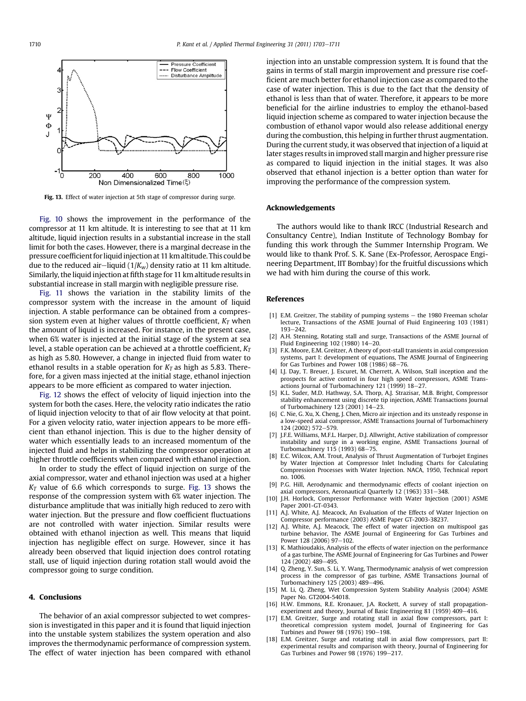<span id="page-7-0"></span>

Fig. 13. Effect of water injection at 5th stage of compressor during surge.

[Fig. 10](#page-6-0) shows the improvement in the performance of the compressor at 11 km altitude. It is interesting to see that at 11 km altitude, liquid injection results in a substantial increase in the stall limit for both the cases. However, there is a marginal decrease in the pressure coefficient forliquid injection at 11 km altitude. This could be due to the reduced air-liquid ( $1/K_w$ ) density ratio at 11 km altitude. Similarly, the liquid injection at fifth stage for 11 km altitude results in substantial increase in stall margin with negligible pressure rise.

[Fig. 11](#page-6-0) shows the variation in the stability limits of the compressor system with the increase in the amount of liquid injection. A stable performance can be obtained from a compression system even at higher values of throttle coefficient,  $K_T$  when the amount of liquid is increased. For instance, in the present case, when 6% water is injected at the initial stage of the system at sea level, a stable operation can be achieved at a throttle coefficient,  $K_T$ as high as 5.80. However, a change in injected fluid from water to ethanol results in a stable operation for  $K<sub>T</sub>$  as high as 5.83. Therefore, for a given mass injected at the initial stage, ethanol injection appears to be more efficient as compared to water injection.

[Fig. 12](#page-6-0) shows the effect of velocity of liquid injection into the system for both the cases. Here, the velocity ratio indicates the ratio of liquid injection velocity to that of air flow velocity at that point. For a given velocity ratio, water injection appears to be more efficient than ethanol injection. This is due to the higher density of water which essentially leads to an increased momentum of the injected fluid and helps in stabilizing the compressor operation at higher throttle coefficients when compared with ethanol injection.

In order to study the effect of liquid injection on surge of the axial compressor, water and ethanol injection was used at a higher  $K<sub>T</sub>$  value of 6.6 which corresponds to surge. Fig. 13 shows the response of the compression system with 6% water injection. The disturbance amplitude that was initially high reduced to zero with water injection. But the pressure and flow coefficient fluctuations are not controlled with water injection. Similar results were obtained with ethanol injection as well. This means that liquid injection has negligible effect on surge. However, since it has already been observed that liquid injection does control rotating stall, use of liquid injection during rotation stall would avoid the compressor going to surge condition.

# 4. Conclusions

The behavior of an axial compressor subjected to wet compression is investigated in this paper and it is found that liquid injection into the unstable system stabilizes the system operation and also improves the thermodynamic performance of compression system. The effect of water injection has been compared with ethanol injection into an unstable compression system. It is found that the gains in terms of stall margin improvement and pressure rise coefficient are much better for ethanol injection case as compared to the case of water injection. This is due to the fact that the density of ethanol is less than that of water. Therefore, it appears to be more beneficial for the airline industries to employ the ethanol-based liquid injection scheme as compared to water injection because the combustion of ethanol vapor would also release additional energy during the combustion, this helping in further thrust augmentation. During the current study, it was observed that injection of a liquid at later stages results in improved stall margin and higher pressure rise as compared to liquid injection in the initial stages. It was also observed that ethanol injection is a better option than water for improving the performance of the compression system.

# Acknowledgements

The authors would like to thank IRCC (Industrial Research and Consultancy Centre), Indian Institute of Technology Bombay for funding this work through the Summer Internship Program. We would like to thank Prof. S. K. Sane (Ex-Professor, Aerospace Engineering Department, IIT Bombay) for the fruitful discussions which we had with him during the course of this work.

## References

- [1] E.M. Greitzer, The stability of pumping systems  $-$  the 1980 Freeman scholar lecture, Transactions of the ASME Journal of Fluid Engineering 103 (1981)  $193 - 242.$
- [2] A.H. Stenning, Rotating stall and surge, Transactions of the ASME Journal of Fluid Engineering  $102$  (1980)  $14-20$ .
- [3] F.K. Moore, E.M. Greitzer, A theory of post-stall transients in axial compression systems, part I: development of equations, The ASME Journal of Engineering for Gas Turbines and Power  $108$  ( $1986$ )  $68-76$ .
- [4] I.J. Day, T. Breuer, J. Escuret, M. Cherrett, A. Wilson, Stall inception and the prospects for active control in four high speed compressors, ASME Transactions Journal of Turbomachinery  $121$  (1999)  $18-27$ .
- [5] K.L. Suder, M.D. Hathway, S.A. Thorp, A.J. Strazisar, M.B. Bright, Compressor stability enhancement using discrete tip injection, ASME Transactions Journal of Turbomachinery 123 (2001) 14-23.
- [6] C. Nie, G. Xu, X. Cheng, J. Chen, Micro air injection and its unsteady response in a low-speed axial compressor, ASME Transactions Journal of Turbomachinery 124 (2002) 572-579.
- [7] J.F.E. Williams, M.F.L. Harper, D.J. Allwright, Active stabilization of compressor instability and surge in a working engine, ASME Transactions Journal of Turbomachinery 115 (1993) 68-75.
- [8] E.C. Wilcox, A.M. Trout, Analysis of Thrust Augmentation of Turbojet Engines by Water Injection at Compressor Inlet Including Charts for Calculating Compression Processes with Water Injection. NACA, 1950, Technical report no. 1006.
- [9] P.G. Hill, Aerodynamic and thermodynamic effects of coolant injection on axial compressors, Aeronautical Quarterly 12 (1963) 331-348
- [10] J.H. Horlock, Compressor Performance with Water Injection (2001) ASME Paper 2001-GT-0343.
- [11] A.J. White, A.J. Meacock, An Evaluation of the Effects of Water Injection on Compressor performance (2003) ASME Paper GT-2003-38237.
- [12] A.J. White, A.J. Meacock, The effect of water injection on multispool gas turbine behavior, The ASME Journal of Engineering for Gas Turbines and Power 128 (2006) 97-102.
- [13] K. Mathioudakis, Analysis of the effects of water injection on the performance of a gas turbine, The ASME Journal of Engineering for Gas Turbines and Power 124 (2002) 489-495.
- [14] Q. Zheng, Y. Sun, S. Li, Y. Wang, Thermodynamic analysis of wet compression process in the compressor of gas turbine, ASME Transactions Journal of Turbomachinery 125 (2003) 489-496.
- [15] M. Li, Q. Zheng, Wet Compression System Stability Analysis (2004) ASME Paper No. GT2004-54018.
- [16] H.W. Emmons, R.E. Kronauer, J.A. Rockett, A survey of stall propagationexperiment and theory, Journal of Basic Engineering 81 (1959) 409-416.
- [17] E.M. Greitzer, Surge and rotating stall in axial flow compressors, part I: theoretical compression system model, Journal of Engineering for Gas Turbines and Power 98 (1976) 190-198.
- [18] E.M. Greitzer, Surge and rotating stall in axial flow compressors, part II: experimental results and comparison with theory, Journal of Engineering for Gas Turbines and Power 98 (1976) 199-217.